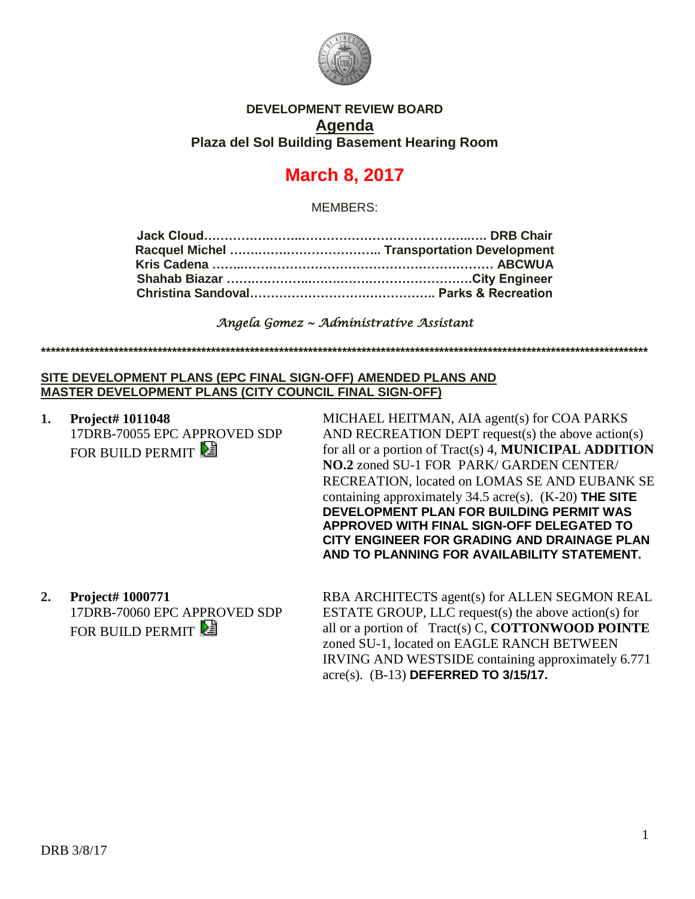

## **DEVELOPMENT REVIEW BOARD Agenda Plaza del Sol Building Basement Hearing Room**

# **March 8, 2017**

MEMBERS:

*Angela Gomez ~ Administrative Assistant* 

**\*\*\*\*\*\*\*\*\*\*\*\*\*\*\*\*\*\*\*\*\*\*\*\*\*\*\*\*\*\*\*\*\*\*\*\*\*\*\*\*\*\*\*\*\*\*\*\*\*\*\*\*\*\*\*\*\*\*\*\*\*\*\*\*\*\*\*\*\*\*\*\*\*\*\*\*\*\*\*\*\*\*\*\*\*\*\*\*\*\*\*\*\*\*\*\*\*\*\*\*\*\*\*\*\*\*\*\*\*\*\*\*\*\*\*\*\*\*\*\*\*\*\*\*\***

### **SITE DEVELOPMENT PLANS (EPC FINAL SIGN-OFF) AMENDED PLANS AND MASTER DEVELOPMENT PLANS (CITY COUNCIL FINAL SIGN-OFF)**

**1. Project# 1011048** 17DRB-70055 EPC APPROVED SDP FOR BUILD PERMIT

MICHAEL HEITMAN, AIA agent(s) for COA PARKS AND RECREATION DEPT request(s) the above action(s) for all or a portion of Tract(s) 4, **MUNICIPAL ADDITION NO.2** zoned SU-1 FOR PARK/ GARDEN CENTER/ RECREATION, located on LOMAS SE AND EUBANK SE containing approximately 34.5 acre(s). (K-20) **THE SITE DEVELOPMENT PLAN FOR BUILDING PERMIT WAS APPROVED WITH FINAL SIGN-OFF DELEGATED TO CITY ENGINEER FOR GRADING AND DRAINAGE PLAN AND TO PLANNING FOR AVAILABILITY STATEMENT.**

**2. Project# 1000771** 17DRB-70060 EPC APPROVED SDP FOR BUILD PERMIT

RBA ARCHITECTS agent(s) for ALLEN SEGMON REAL ESTATE GROUP, LLC request(s) the above action(s) for all or a portion of Tract(s) C, **COTTONWOOD POINTE** zoned SU-1, located on EAGLE RANCH BETWEEN IRVING AND WESTSIDE containing approximately 6.771 acre(s). (B-13) **DEFERRED TO 3/15/17.**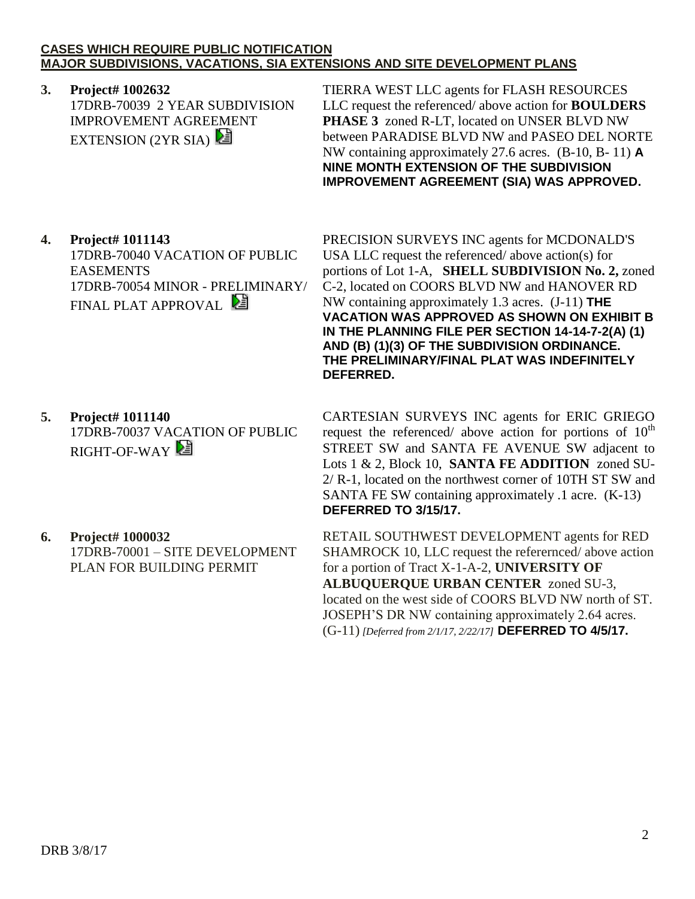### **CASES WHICH REQUIRE PUBLIC NOTIFICATION MAJOR SUBDIVISIONS, VACATIONS, SIA EXTENSIONS AND SITE DEVELOPMENT PLANS**

# **3. Project# 1002632**

17DRB-70039 2 YEAR SUBDIVISION IMPROVEMENT AGREEMENT EXTENSION  $(2YR SIA)$ 

TIERRA WEST LLC agents for FLASH RESOURCES LLC request the referenced/ above action for **BOULDERS PHASE 3** zoned R-LT, located on UNSER BLVD NW between PARADISE BLVD NW and PASEO DEL NORTE NW containing approximately 27.6 acres. (B-10, B- 11) **A NINE MONTH EXTENSION OF THE SUBDIVISION IMPROVEMENT AGREEMENT (SIA) WAS APPROVED.**

# **4. Project# 1011143**

17DRB-70040 VACATION OF PUBLIC EASEMENTS 17DRB-70054 MINOR - PRELIMINARY/ FINAL PLAT APPROVAL

### **5. Project# 1011140** 17DRB-70037 VACATION OF PUBLIC RIGHT-OF-WAY

**6. Project# 1000032** 17DRB-70001 – SITE DEVELOPMENT PLAN FOR BUILDING PERMIT

PRECISION SURVEYS INC agents for MCDONALD'S USA LLC request the referenced/ above action(s) for portions of Lot 1-A, **SHELL SUBDIVISION No. 2,** zoned C-2, located on COORS BLVD NW and HANOVER RD NW containing approximately 1.3 acres. (J-11) **THE VACATION WAS APPROVED AS SHOWN ON EXHIBIT B IN THE PLANNING FILE PER SECTION 14-14-7-2(A) (1) AND (B) (1)(3) OF THE SUBDIVISION ORDINANCE. THE PRELIMINARY/FINAL PLAT WAS INDEFINITELY DEFERRED.**

CARTESIAN SURVEYS INC agents for ERIC GRIEGO request the referenced/ above action for portions of  $10<sup>th</sup>$ STREET SW and SANTA FE AVENUE SW adjacent to Lots 1 & 2, Block 10, **SANTA FE ADDITION** zoned SU-2/ R-1, located on the northwest corner of 10TH ST SW and SANTA FE SW containing approximately .1 acre. (K-13) **DEFERRED TO 3/15/17.**

RETAIL SOUTHWEST DEVELOPMENT agents for RED SHAMROCK 10, LLC request the referernced/ above action for a portion of Tract X-1-A-2, **UNIVERSITY OF ALBUQUERQUE URBAN CENTER** zoned SU-3, located on the west side of COORS BLVD NW north of ST. JOSEPH'S DR NW containing approximately 2.64 acres. (G-11) *[Deferred from 2/1/17, 2/22/17]* **DEFERRED TO 4/5/17.**